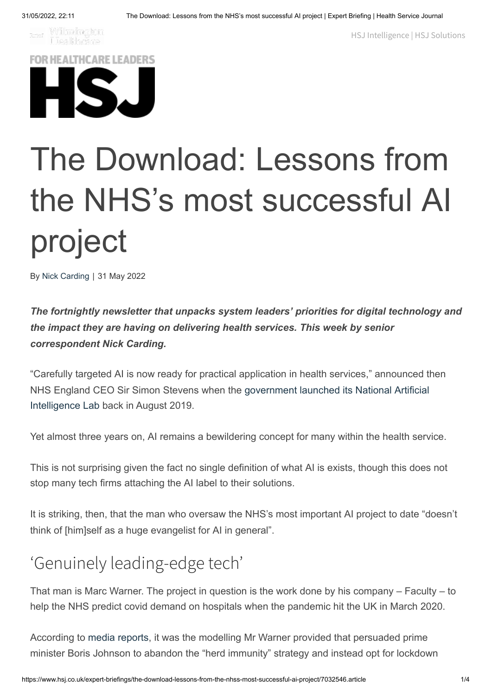**Extra Williamington**<br>Liealthcare

HSJ [Intelligence](https://www.hsjintelligence.co.uk/) | HSJ [Solutions](https://solutions.hsj.co.uk/)



## The Download: Lessons from the NHS's most successful AI project

By Nick [Carding](https://www.hsj.co.uk/nick-carding/3007732.bio) | 31 May 2022

*The fortnightly newsletter that unpacks system leaders' priorities for digital technology and the impact they are having on delivering health services. This week by senior correspondent Nick Carding.*

"Carefully targeted AI is now ready for practical application in health services," announced then [NHS England CEO Sir Simon Stevens when the government launched its National Artificial](https://www.gov.uk/government/news/health-secretary-announces-250-million-investment-in-artificial-intelligence) Intelligence Lab back in August 2019.

Yet almost three years on, AI remains a bewildering concept for many within the health service.

This is not surprising given the fact no single definition of what AI is exists, though this does not stop many tech firms attaching the AI label to their solutions.

It is striking, then, that the man who oversaw the NHS's most important AI project to date "doesn't think of [him]self as a huge evangelist for AI in general".

## 'Genuinely leading-edge tech'

That man is Marc Warner. The project in question is the work done by his company – Faculty – to help the NHS predict covid demand on hospitals when the pandemic hit the UK in March 2020.

According to [media reports,](https://www.newstatesman.com/science-tech/coronavirus/2021/10/without-marc-warner-thousands-would-be-dead-the-physicist-who-averted-britains-herd-immunity-disaster) it was the modelling Mr Warner provided that persuaded prime minister Boris Johnson to abandon the "herd immunity" strategy and instead opt for lockdown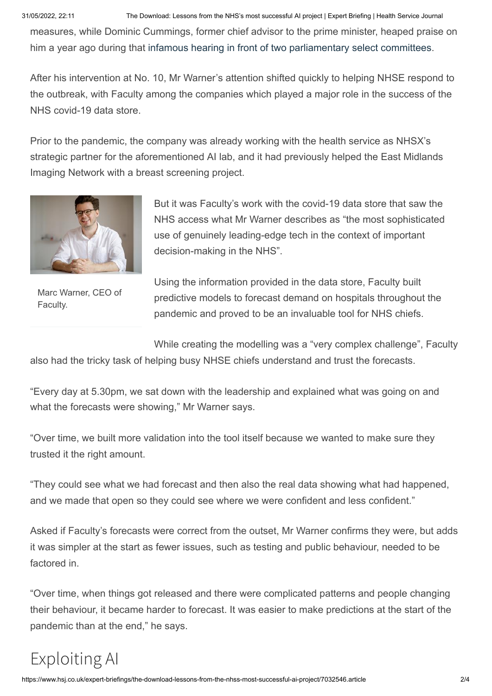31/05/2022, 22:11 The Download: Lessons from the NHS's most successful AI project | Expert Briefing | Health Service Journal

measures, while Dominic Cummings, former chief advisor to the prime minister, heaped praise on him a year ago during that [infamous hearing in front of two parliamentary select committees](https://www.hsj.co.uk/coronavirus/cummings-hancock-lied-to-everybody-and-wrongly-accused-stevens-over-ppe/7030161.article).

After his intervention at No. 10, Mr Warner's attention shifted quickly to helping NHSE respond to the outbreak, with Faculty among the companies which played a major role in the success of the NHS covid-19 data store.

Prior to the pandemic, the company was already working with the health service as NHSX's strategic partner for the aforementioned AI lab, and it had previously helped the East Midlands Imaging Network with a breast screening project.



Marc Warner, CEO of Faculty.

But it was Faculty's work with the covid-19 data store that saw the NHS access what Mr Warner describes as "the most sophisticated use of genuinely leading-edge tech in the context of important decision-making in the NHS".

Using the information provided in the data store, Faculty built predictive models to forecast demand on hospitals throughout the pandemic and proved to be an invaluable tool for NHS chiefs.

While creating the modelling was a "very complex challenge", Faculty

also had the tricky task of helping busy NHSE chiefs understand and trust the forecasts.

"Every day at 5.30pm, we sat down with the leadership and explained what was going on and what the forecasts were showing," Mr Warner says.

"Over time, we built more validation into the tool itself because we wanted to make sure they trusted it the right amount.

"They could see what we had forecast and then also the real data showing what had happened, and we made that open so they could see where we were confident and less confident."

Asked if Faculty's forecasts were correct from the outset, Mr Warner confirms they were, but adds it was simpler at the start as fewer issues, such as testing and public behaviour, needed to be factored in.

"Over time, when things got released and there were complicated patterns and people changing their behaviour, it became harder to forecast. It was easier to make predictions at the start of the pandemic than at the end," he says.

## Exploiting AI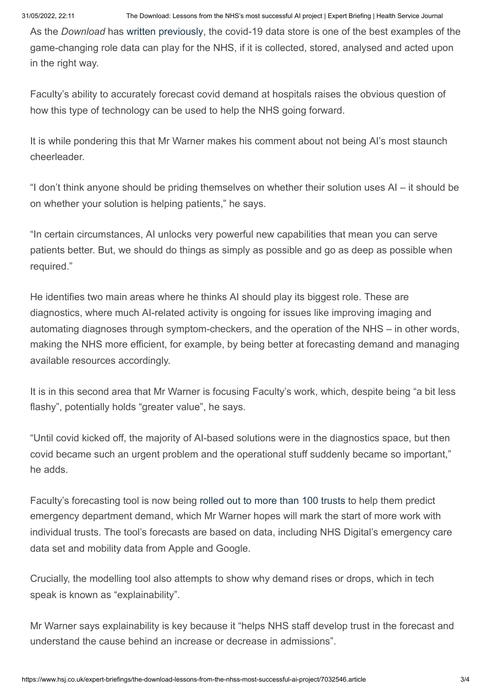As the *Download* has [written previously](https://www.hsj.co.uk/expert-briefings/the-download-the-story-of-the-covid-19-data-store/7029556.article), the covid-19 data store is one of the best examples of the game-changing role data can play for the NHS, if it is collected, stored, analysed and acted upon in the right way.

Faculty's ability to accurately forecast covid demand at hospitals raises the obvious question of how this type of technology can be used to help the NHS going forward.

It is while pondering this that Mr Warner makes his comment about not being AI's most staunch cheerleader.

"I don't think anyone should be priding themselves on whether their solution uses AI – it should be on whether your solution is helping patients," he says.

"In certain circumstances, AI unlocks very powerful new capabilities that mean you can serve patients better. But, we should do things as simply as possible and go as deep as possible when required."

He identifies two main areas where he thinks AI should play its biggest role. These are diagnostics, where much AI-related activity is ongoing for issues like improving imaging and automating diagnoses through symptom-checkers, and the operation of the NHS – in other words, making the NHS more efficient, for example, by being better at forecasting demand and managing available resources accordingly.

It is in this second area that Mr Warner is focusing Faculty's work, which, despite being "a bit less flashy", potentially holds "greater value", he says.

"Until covid kicked off, the majority of AI-based solutions were in the diagnostics space, but then covid became such an urgent problem and the operational stuff suddenly became so important," he adds.

Faculty's forecasting tool is now being [rolled out to more than 100 trusts](https://www.computerweekly.com/news/252515189/NHS-England-deploys-pilot-AI-tool-to-forecast-AE-admissions) to help them predict emergency department demand, which Mr Warner hopes will mark the start of more work with individual trusts. The tool's forecasts are based on data, including NHS Digital's emergency care data set and mobility data from Apple and Google.

Crucially, the modelling tool also attempts to show why demand rises or drops, which in tech speak is known as "explainability".

Mr Warner says explainability is key because it "helps NHS staff develop trust in the forecast and understand the cause behind an increase or decrease in admissions".